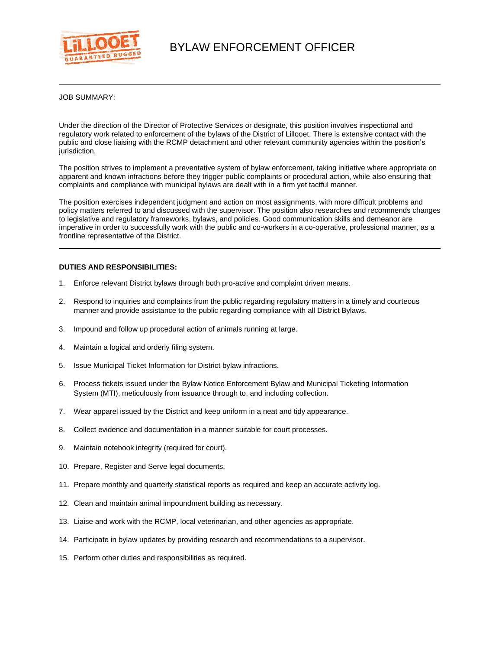

JOB SUMMARY:

Under the direction of the Director of Protective Services or designate, this position involves inspectional and regulatory work related to enforcement of the bylaws of the District of Lillooet. There is extensive contact with the public and close liaising with the RCMP detachment and other relevant community agencies within the position's jurisdiction.

The position strives to implement a preventative system of bylaw enforcement, taking initiative where appropriate on apparent and known infractions before they trigger public complaints or procedural action, while also ensuring that complaints and compliance with municipal bylaws are dealt with in a firm yet tactful manner.

The position exercises independent judgment and action on most assignments, with more difficult problems and policy matters referred to and discussed with the supervisor. The position also researches and recommends changes to legislative and regulatory frameworks, bylaws, and policies. Good communication skills and demeanor are imperative in order to successfully work with the public and co-workers in a co-operative, professional manner, as a frontline representative of the District.

## **DUTIES AND RESPONSIBILITIES:**

- 1. Enforce relevant District bylaws through both pro-active and complaint driven means.
- 2. Respond to inquiries and complaints from the public regarding regulatory matters in a timely and courteous manner and provide assistance to the public regarding compliance with all District Bylaws.
- 3. Impound and follow up procedural action of animals running at large.
- 4. Maintain a logical and orderly filing system.
- 5. Issue Municipal Ticket Information for District bylaw infractions.
- 6. Process tickets issued under the Bylaw Notice Enforcement Bylaw and Municipal Ticketing Information System (MTI), meticulously from issuance through to, and including collection.
- 7. Wear apparel issued by the District and keep uniform in a neat and tidy appearance.
- 8. Collect evidence and documentation in a manner suitable for court processes.
- 9. Maintain notebook integrity (required for court).
- 10. Prepare, Register and Serve legal documents.
- 11. Prepare monthly and quarterly statistical reports as required and keep an accurate activity log.
- 12. Clean and maintain animal impoundment building as necessary.
- 13. Liaise and work with the RCMP, local veterinarian, and other agencies as appropriate.
- 14. Participate in bylaw updates by providing research and recommendations to a supervisor.
- 15. Perform other duties and responsibilities as required.